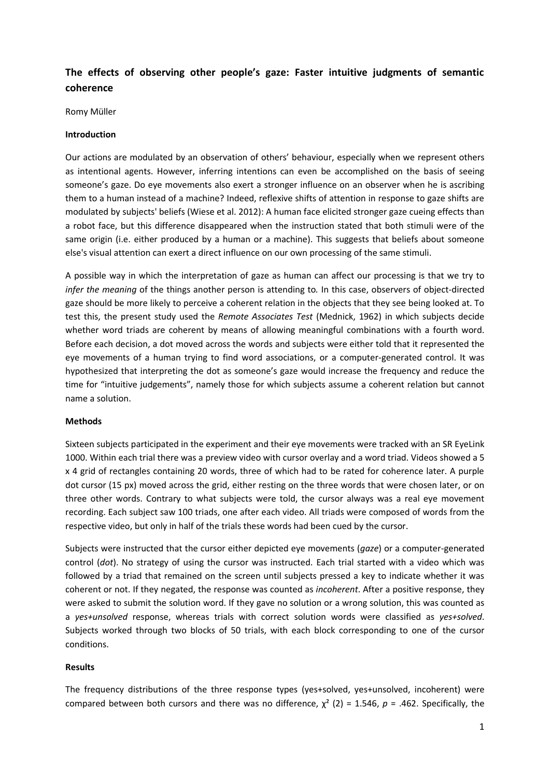# **The effects of observing other people's gaze: Faster intuitive judgments of semantic coherence**

Romy Müller

## **Introduction**

Our actions are modulated by an observation of others' behaviour, especially when we represent others as intentional agents. However, inferring intentions can even be accomplished on the basis of seeing someone's gaze. Do eye movements also exert a stronger influence on an observer when he is ascribing them to a human instead of a machine? Indeed, reflexive shifts of attention in response to gaze shifts are modulated by subjects' beliefs (Wiese et al. 2012): A human face elicited stronger gaze cueing effects than a robot face, but this difference disappeared when the instruction stated that both stimuli were of the same origin (i.e. either produced by a human or a machine). This suggests that beliefs about someone else's visual attention can exert a direct influence on our own processing of the same stimuli.

A possible way in which the interpretation of gaze as human can affect our processing is that we try to *infer the meaning* of the things another person is attending to*.* In this case, observers of object-directed gaze should be more likely to perceive a coherent relation in the objects that they see being looked at. To test this, the present study used the *Remote Associates Test* (Mednick, 1962) in which subjects decide whether word triads are coherent by means of allowing meaningful combinations with a fourth word. Before each decision, a dot moved across the words and subjects were either told that it represented the eye movements of a human trying to find word associations, or a computer-generated control. It was hypothesized that interpreting the dot as someone's gaze would increase the frequency and reduce the time for "intuitive judgements", namely those for which subjects assume a coherent relation but cannot name a solution.

## **Methods**

Sixteen subjects participated in the experiment and their eye movements were tracked with an SR EyeLink 1000. Within each trial there was a preview video with cursor overlay and a word triad. Videos showed a 5 x 4 grid of rectangles containing 20 words, three of which had to be rated for coherence later. A purple dot cursor (15 px) moved across the grid, either resting on the three words that were chosen later, or on three other words. Contrary to what subjects were told, the cursor always was a real eye movement recording. Each subject saw 100 triads, one after each video. All triads were composed of words from the respective video, but only in half of the trials these words had been cued by the cursor.

Subjects were instructed that the cursor either depicted eye movements (*gaze*) or a computer-generated control (*dot*). No strategy of using the cursor was instructed. Each trial started with a video which was followed by a triad that remained on the screen until subjects pressed a key to indicate whether it was coherent or not. If they negated, the response was counted as *incoherent*. After a positive response, they were asked to submit the solution word. If they gave no solution or a wrong solution, this was counted as a *yes+unsolved* response, whereas trials with correct solution words were classified as *yes+solved*. Subjects worked through two blocks of 50 trials, with each block corresponding to one of the cursor conditions.

## **Results**

The frequency distributions of the three response types (yes+solved, yes+unsolved, incoherent) were compared between both cursors and there was no difference,  $\chi^2$  (2) = 1.546,  $p = .462$ . Specifically, the